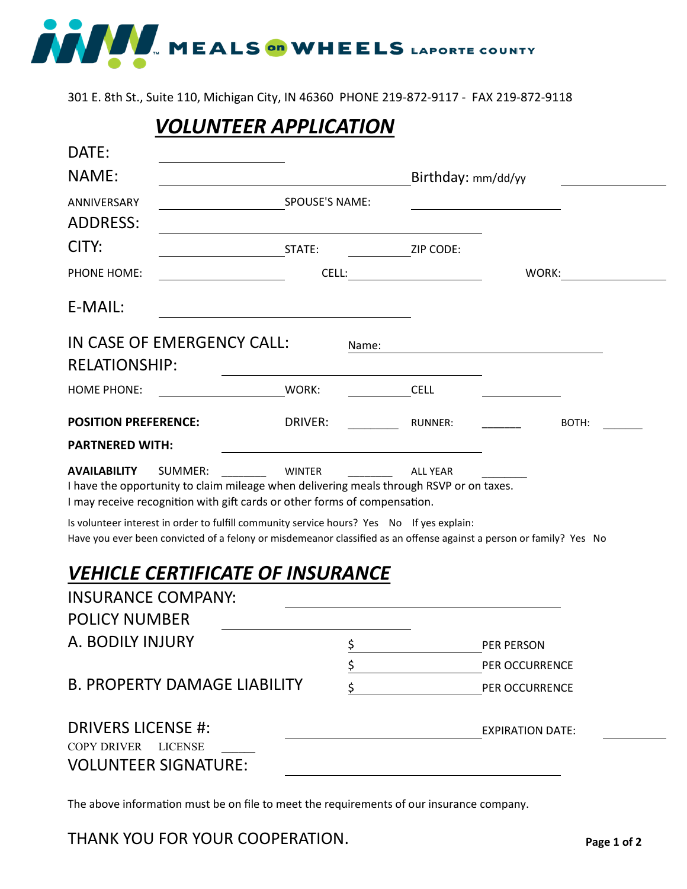

301 E. 8th St., Suite 110, Michigan City, IN 46360 PHONE 219-872-9117 - FAX 219-872-9118

## *VOLUNTEER APPLICATION*

| SPOUSE'S NAME:                                                                                                                                                                                                   |                                     |                                                                                                                 |                                                                                                                                            |                                                                                                                                                                                                                         |
|------------------------------------------------------------------------------------------------------------------------------------------------------------------------------------------------------------------|-------------------------------------|-----------------------------------------------------------------------------------------------------------------|--------------------------------------------------------------------------------------------------------------------------------------------|-------------------------------------------------------------------------------------------------------------------------------------------------------------------------------------------------------------------------|
|                                                                                                                                                                                                                  |                                     |                                                                                                                 |                                                                                                                                            |                                                                                                                                                                                                                         |
| STATE:                                                                                                                                                                                                           |                                     |                                                                                                                 |                                                                                                                                            |                                                                                                                                                                                                                         |
| CELL:                                                                                                                                                                                                            |                                     |                                                                                                                 | WORK:                                                                                                                                      |                                                                                                                                                                                                                         |
|                                                                                                                                                                                                                  |                                     |                                                                                                                 |                                                                                                                                            |                                                                                                                                                                                                                         |
| IN CASE OF EMERGENCY CALL:                                                                                                                                                                                       |                                     |                                                                                                                 |                                                                                                                                            |                                                                                                                                                                                                                         |
|                                                                                                                                                                                                                  |                                     |                                                                                                                 |                                                                                                                                            |                                                                                                                                                                                                                         |
| WORK:                                                                                                                                                                                                            |                                     |                                                                                                                 |                                                                                                                                            |                                                                                                                                                                                                                         |
| DRIVER:                                                                                                                                                                                                          |                                     |                                                                                                                 |                                                                                                                                            | BOTH:                                                                                                                                                                                                                   |
|                                                                                                                                                                                                                  |                                     |                                                                                                                 |                                                                                                                                            |                                                                                                                                                                                                                         |
| <b>WINTER</b>                                                                                                                                                                                                    |                                     |                                                                                                                 |                                                                                                                                            |                                                                                                                                                                                                                         |
| Is volunteer interest in order to fulfill community service hours? Yes No If yes explain:<br>Have you ever been convicted of a felony or misdemeanor classified as an offense against a person or family? Yes No |                                     |                                                                                                                 |                                                                                                                                            |                                                                                                                                                                                                                         |
| <i><b>VEHICLE CERTIFICATE OF INSURANCE</b></i>                                                                                                                                                                   |                                     |                                                                                                                 |                                                                                                                                            |                                                                                                                                                                                                                         |
|                                                                                                                                                                                                                  |                                     |                                                                                                                 |                                                                                                                                            |                                                                                                                                                                                                                         |
|                                                                                                                                                                                                                  |                                     |                                                                                                                 |                                                                                                                                            |                                                                                                                                                                                                                         |
|                                                                                                                                                                                                                  |                                     |                                                                                                                 | PER PERSON                                                                                                                                 |                                                                                                                                                                                                                         |
|                                                                                                                                                                                                                  | \$                                  |                                                                                                                 |                                                                                                                                            |                                                                                                                                                                                                                         |
|                                                                                                                                                                                                                  |                                     |                                                                                                                 |                                                                                                                                            |                                                                                                                                                                                                                         |
|                                                                                                                                                                                                                  |                                     |                                                                                                                 |                                                                                                                                            |                                                                                                                                                                                                                         |
|                                                                                                                                                                                                                  |                                     |                                                                                                                 |                                                                                                                                            |                                                                                                                                                                                                                         |
|                                                                                                                                                                                                                  | <b>B. PROPERTY DAMAGE LIABILITY</b> | and the state of the state of the state of the state of the state of the state of the state of the state of the | ZIP CODE:<br><b>CELL</b><br><b>RUNNER:</b><br><b>ALL YEAR</b><br>I may receive recognition with gift cards or other forms of compensation. | Birthday: mm/dd/yy<br><u> 1990 - Johann Barbara, martxa a</u><br>I have the opportunity to claim mileage when delivering meals through RSVP or on taxes.<br>PER OCCURRENCE<br>PER OCCURRENCE<br><b>EXPIRATION DATE:</b> |

The above information must be on file to meet the requirements of our insurance company.

THANK YOU FOR YOUR COOPERATION. **Page 1 of 2**